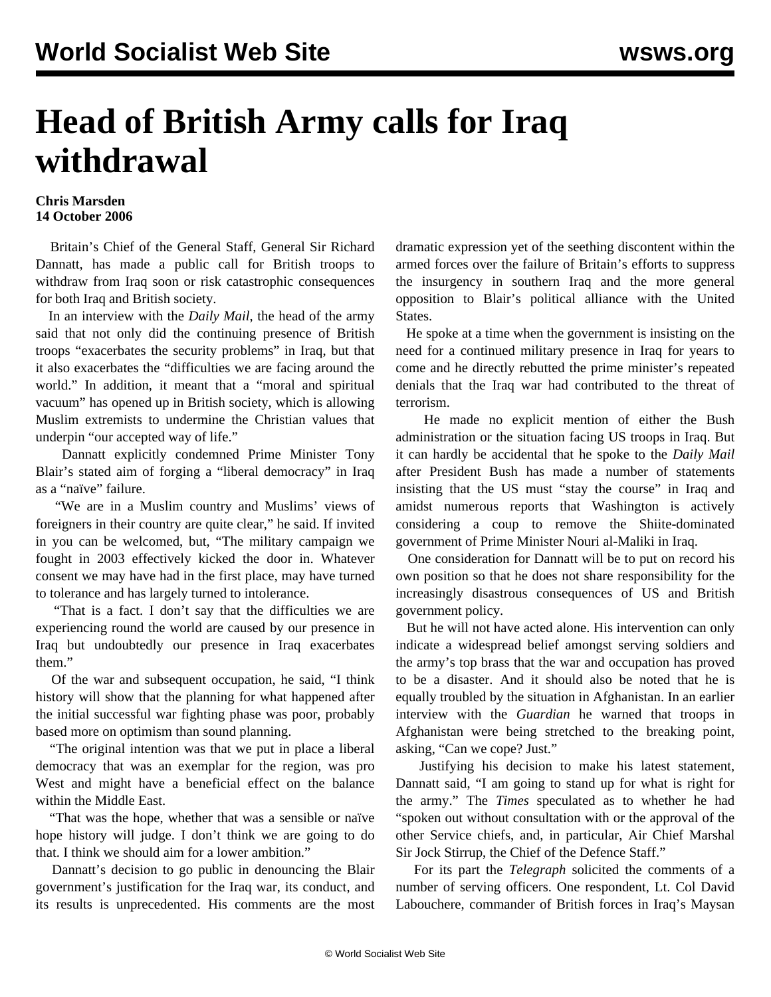## **Head of British Army calls for Iraq withdrawal**

## **Chris Marsden 14 October 2006**

 Britain's Chief of the General Staff, General Sir Richard Dannatt, has made a public call for British troops to withdraw from Iraq soon or risk catastrophic consequences for both Iraq and British society.

 In an interview with the *Daily Mail*, the head of the army said that not only did the continuing presence of British troops "exacerbates the security problems" in Iraq, but that it also exacerbates the "difficulties we are facing around the world." In addition, it meant that a "moral and spiritual vacuum" has opened up in British society, which is allowing Muslim extremists to undermine the Christian values that underpin "our accepted way of life."

 Dannatt explicitly condemned Prime Minister Tony Blair's stated aim of forging a "liberal democracy" in Iraq as a "naïve" failure.

 "We are in a Muslim country and Muslims' views of foreigners in their country are quite clear," he said. If invited in you can be welcomed, but, "The military campaign we fought in 2003 effectively kicked the door in. Whatever consent we may have had in the first place, may have turned to tolerance and has largely turned to intolerance.

 "That is a fact. I don't say that the difficulties we are experiencing round the world are caused by our presence in Iraq but undoubtedly our presence in Iraq exacerbates them"

 Of the war and subsequent occupation, he said, "I think history will show that the planning for what happened after the initial successful war fighting phase was poor, probably based more on optimism than sound planning.

 "The original intention was that we put in place a liberal democracy that was an exemplar for the region, was pro West and might have a beneficial effect on the balance within the Middle East.

 "That was the hope, whether that was a sensible or naïve hope history will judge. I don't think we are going to do that. I think we should aim for a lower ambition."

 Dannatt's decision to go public in denouncing the Blair government's justification for the Iraq war, its conduct, and its results is unprecedented. His comments are the most dramatic expression yet of the seething discontent within the armed forces over the failure of Britain's efforts to suppress the insurgency in southern Iraq and the more general opposition to Blair's political alliance with the United States.

 He spoke at a time when the government is insisting on the need for a continued military presence in Iraq for years to come and he directly rebutted the prime minister's repeated denials that the Iraq war had contributed to the threat of terrorism.

 He made no explicit mention of either the Bush administration or the situation facing US troops in Iraq. But it can hardly be accidental that he spoke to the *Daily Mail* after President Bush has made a number of statements insisting that the US must "stay the course" in Iraq and amidst numerous reports that Washington is actively considering a coup to remove the Shiite-dominated government of Prime Minister Nouri al-Maliki in Iraq.

 One consideration for Dannatt will be to put on record his own position so that he does not share responsibility for the increasingly disastrous consequences of US and British government policy.

 But he will not have acted alone. His intervention can only indicate a widespread belief amongst serving soldiers and the army's top brass that the war and occupation has proved to be a disaster. And it should also be noted that he is equally troubled by the situation in Afghanistan. In an earlier interview with the *Guardian* he warned that troops in Afghanistan were being stretched to the breaking point, asking, "Can we cope? Just."

 Justifying his decision to make his latest statement, Dannatt said, "I am going to stand up for what is right for the army." The *Times* speculated as to whether he had "spoken out without consultation with or the approval of the other Service chiefs, and, in particular, Air Chief Marshal Sir Jock Stirrup, the Chief of the Defence Staff."

 For its part the *Telegraph* solicited the comments of a number of serving officers. One respondent, Lt. Col David Labouchere, commander of British forces in Iraq's Maysan